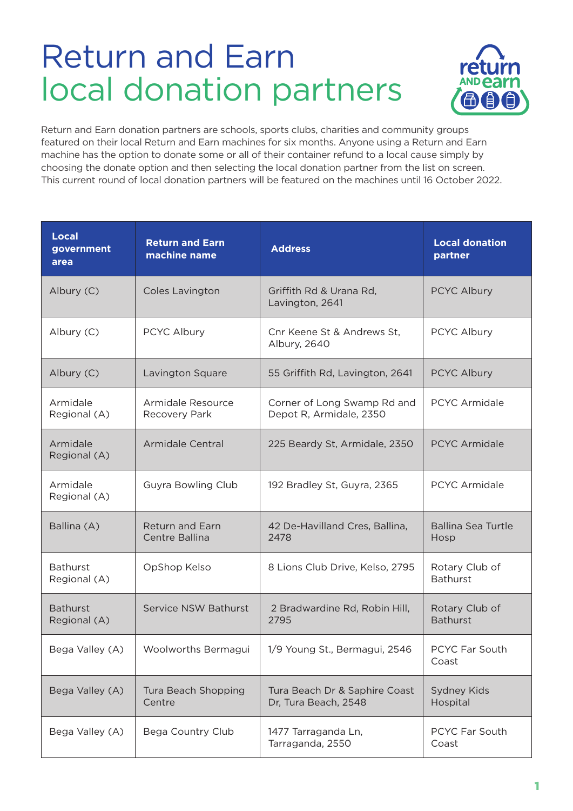## Return and Earn local donation partners



Return and Earn donation partners are schools, sports clubs, charities and community groups featured on their local Return and Earn machines for six months. Anyone using a Return and Earn machine has the option to donate some or all of their container refund to a local cause simply by choosing the donate option and then selecting the local donation partner from the list on screen. This current round of local donation partners will be featured on the machines until 16 October 2022.

| <b>Local</b><br>government<br>area | <b>Return and Earn</b><br>machine name   | <b>Address</b>                                         | <b>Local donation</b><br>partner  |
|------------------------------------|------------------------------------------|--------------------------------------------------------|-----------------------------------|
| Albury (C)                         | Coles Lavington                          | Griffith Rd & Urana Rd,<br>Lavington, 2641             | PCYC Albury                       |
| Albury (C)                         | PCYC Albury                              | Cnr Keene St & Andrews St,<br>Albury, 2640             | PCYC Albury                       |
| Albury (C)                         | Lavington Square                         | 55 Griffith Rd, Lavington, 2641                        | PCYC Albury                       |
| Armidale<br>Regional (A)           | Armidale Resource<br>Recovery Park       | Corner of Long Swamp Rd and<br>Depot R, Armidale, 2350 | <b>PCYC Armidale</b>              |
| Armidale<br>Regional (A)           | Armidale Central                         | 225 Beardy St, Armidale, 2350                          | <b>PCYC Armidale</b>              |
| Armidale<br>Regional (A)           | Guyra Bowling Club                       | 192 Bradley St, Guyra, 2365                            | <b>PCYC Armidale</b>              |
| Ballina (A)                        | <b>Return and Earn</b><br>Centre Ballina | 42 De-Havilland Cres, Ballina,<br>2478                 | <b>Ballina Sea Turtle</b><br>Hosp |
| <b>Bathurst</b><br>Regional (A)    | OpShop Kelso                             | 8 Lions Club Drive, Kelso, 2795                        | Rotary Club of<br><b>Bathurst</b> |
| <b>Bathurst</b><br>Regional (A)    | Service NSW Bathurst                     | 2 Bradwardine Rd, Robin Hill,<br>2795                  | Rotary Club of<br><b>Bathurst</b> |
| Bega Valley (A)                    | Woolworths Bermagui                      | 1/9 Young St., Bermagui, 2546                          | PCYC Far South<br>Coast           |
| Bega Valley (A)                    | Tura Beach Shopping<br>Centre            | Tura Beach Dr & Saphire Coast<br>Dr, Tura Beach, 2548  | <b>Sydney Kids</b><br>Hospital    |
| Bega Valley (A)                    | Bega Country Club                        | 1477 Tarraganda Ln,<br>Tarraganda, 2550                | PCYC Far South<br>Coast           |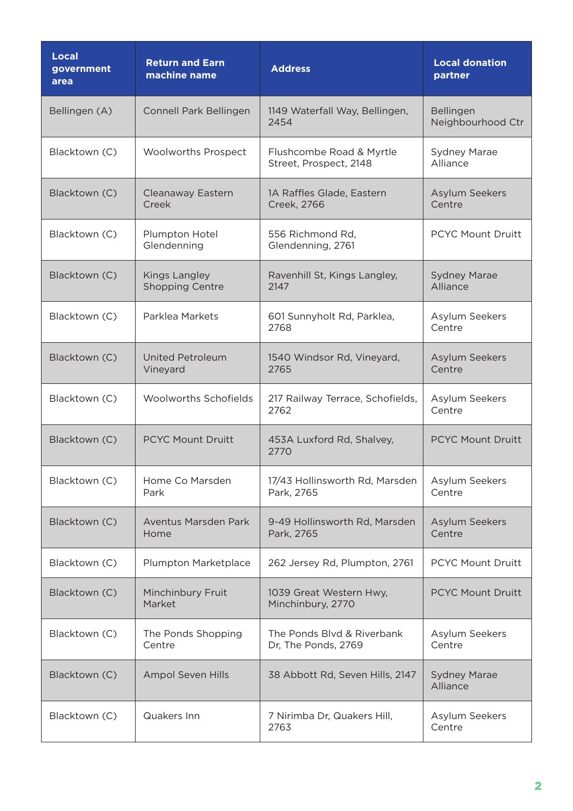| <b>Local</b><br>government<br>area | <b>Return and Earn</b><br>machine name         | <b>Address</b>                                     | <b>Local donation</b><br>partner |
|------------------------------------|------------------------------------------------|----------------------------------------------------|----------------------------------|
| Bellingen (A)                      | Connell Park Bellingen                         | 1149 Waterfall Way, Bellingen,<br>2454             | Bellingen<br>Neighbourhood Ctr   |
| Blacktown (C)                      | <b>Woolworths Prospect</b>                     | Flushcombe Road & Myrtle<br>Street, Prospect, 2148 | <b>Sydney Marae</b><br>Alliance  |
| Blacktown (C)                      | Cleanaway Eastern<br>Creek                     | 1A Raffles Glade, Eastern<br>Creek, 2766           | Asylum Seekers<br>Centre         |
| Blacktown (C)                      | Plumpton Hotel<br>Glendenning                  | 556 Richmond Rd,<br>Glendenning, 2761              | <b>PCYC Mount Druitt</b>         |
| Blacktown (C)                      | <b>Kings Langley</b><br><b>Shopping Centre</b> | Ravenhill St, Kings Langley,<br>2147               | <b>Sydney Marae</b><br>Alliance  |
| Blacktown (C)                      | Parklea Markets                                | 601 Sunnyholt Rd, Parklea,<br>2768                 | Asylum Seekers<br>Centre         |
| Blacktown (C)                      | <b>United Petroleum</b><br>Vineyard            | 1540 Windsor Rd, Vineyard,<br>2765                 | Asylum Seekers<br>Centre         |
| Blacktown (C)                      | Woolworths Schofields                          | 217 Railway Terrace, Schofields,<br>2762           | Asylum Seekers<br>Centre         |
| Blacktown (C)                      | <b>PCYC Mount Druitt</b>                       | 453A Luxford Rd, Shalvey,<br>2770                  | <b>PCYC Mount Druitt</b>         |
| Blacktown (C)                      | Home Co Marsden<br>Park                        | 17/43 Hollinsworth Rd, Marsden<br>Park, 2765       | Asylum Seekers<br>Centre         |
| Blacktown (C)                      | Aventus Marsden Park<br>Home                   | 9-49 Hollinsworth Rd, Marsden<br>Park, 2765        | Asylum Seekers<br>Centre         |
| Blacktown (C)                      | Plumpton Marketplace                           | 262 Jersey Rd, Plumpton, 2761                      | <b>PCYC Mount Druitt</b>         |
| Blacktown (C)                      | Minchinbury Fruit<br>Market                    | 1039 Great Western Hwy,<br>Minchinbury, 2770       | <b>PCYC Mount Druitt</b>         |
| Blacktown (C)                      | The Ponds Shopping<br>Centre                   | The Ponds Blvd & Riverbank<br>Dr, The Ponds, 2769  | Asylum Seekers<br>Centre         |
| Blacktown (C)                      | <b>Ampol Seven Hills</b>                       | 38 Abbott Rd, Seven Hills, 2147                    | <b>Sydney Marae</b><br>Alliance  |
| Blacktown (C)                      | Quakers Inn                                    | 7 Nirimba Dr, Quakers Hill,<br>2763                | Asylum Seekers<br>Centre         |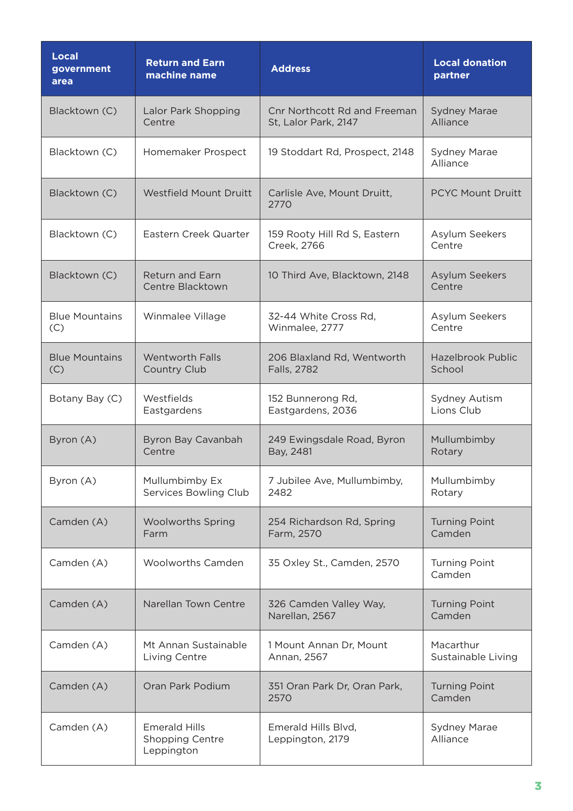| <b>Local</b><br>government<br>area | <b>Return and Earn</b><br>machine name                | <b>Address</b>                                       | <b>Local donation</b><br>partner   |
|------------------------------------|-------------------------------------------------------|------------------------------------------------------|------------------------------------|
| Blacktown (C)                      | Lalor Park Shopping<br>Centre                         | Cnr Northcott Rd and Freeman<br>St, Lalor Park, 2147 | <b>Sydney Marae</b><br>Alliance    |
| Blacktown (C)                      | Homemaker Prospect                                    | 19 Stoddart Rd, Prospect, 2148                       | <b>Sydney Marae</b><br>Alliance    |
| Blacktown (C)                      | Westfield Mount Druitt                                | Carlisle Ave, Mount Druitt,<br>2770                  | <b>PCYC Mount Druitt</b>           |
| Blacktown (C)                      | Eastern Creek Quarter                                 | 159 Rooty Hill Rd S, Eastern<br>Creek, 2766          | Asylum Seekers<br>Centre           |
| Blacktown (C)                      | Return and Earn<br>Centre Blacktown                   | 10 Third Ave, Blacktown, 2148                        | Asylum Seekers<br>Centre           |
| <b>Blue Mountains</b><br>(C)       | Winmalee Village                                      | 32-44 White Cross Rd,<br>Winmalee, 2777              | Asylum Seekers<br>Centre           |
| <b>Blue Mountains</b><br>(C)       | <b>Wentworth Falls</b><br>Country Club                | 206 Blaxland Rd, Wentworth<br>Falls, 2782            | <b>Hazelbrook Public</b><br>School |
| Botany Bay (C)                     | Westfields<br>Eastgardens                             | 152 Bunnerong Rd,<br>Eastgardens, 2036               | Sydney Autism<br>Lions Club        |
| Byron (A)                          | Byron Bay Cavanbah<br>Centre                          | 249 Ewingsdale Road, Byron<br>Bay, 2481              | Mullumbimby<br>Rotary              |
| Byron (A)                          | Mullumbimby Ex<br>Services Bowling Club               | 7 Jubilee Ave, Mullumbimby,<br>2482                  | Mullumbimby<br>Rotary              |
| Camden (A)                         | <b>Woolworths Spring</b><br>Farm                      | 254 Richardson Rd, Spring<br>Farm, 2570              | <b>Turning Point</b><br>Camden     |
| Camden (A)                         | <b>Woolworths Camden</b>                              | 35 Oxley St., Camden, 2570                           | <b>Turning Point</b><br>Camden     |
| Camden (A)                         | Narellan Town Centre                                  | 326 Camden Valley Way,<br>Narellan, 2567             | <b>Turning Point</b><br>Camden     |
| Camden (A)                         | Mt Annan Sustainable<br>Living Centre                 | 1 Mount Annan Dr, Mount<br>Annan, 2567               | Macarthur<br>Sustainable Living    |
| Camden (A)                         | Oran Park Podium                                      | 351 Oran Park Dr, Oran Park,<br>2570                 | <b>Turning Point</b><br>Camden     |
| Camden (A)                         | <b>Emerald Hills</b><br>Shopping Centre<br>Leppington | Emerald Hills Blvd,<br>Leppington, 2179              | Sydney Marae<br>Alliance           |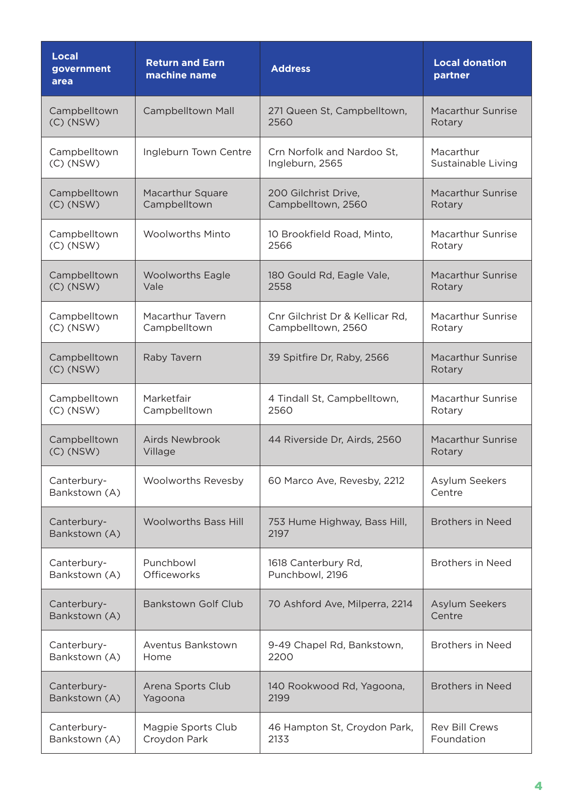| Local<br>government<br>area  | <b>Return and Earn</b><br>machine name | <b>Address</b>                       | <b>Local donation</b><br>partner   |
|------------------------------|----------------------------------------|--------------------------------------|------------------------------------|
| Campbelltown                 | Campbelltown Mall                      | 271 Queen St, Campbelltown,          | <b>Macarthur Sunrise</b>           |
| $(C)$ (NSW)                  |                                        | 2560                                 | Rotary                             |
| Campbelltown                 | Ingleburn Town Centre                  | Crn Norfolk and Nardoo St.           | Macarthur                          |
| $(C)$ (NSW)                  |                                        | Ingleburn, 2565                      | Sustainable Living                 |
| Campbelltown                 | Macarthur Square                       | 200 Gilchrist Drive,                 | <b>Macarthur Sunrise</b>           |
| $(C)$ (NSW)                  | Campbelltown                           | Campbelltown, 2560                   | Rotary                             |
| Campbelltown                 | <b>Woolworths Minto</b>                | 10 Brookfield Road, Minto,           | Macarthur Sunrise                  |
| $(C)$ (NSW)                  |                                        | 2566                                 | Rotary                             |
| Campbelltown                 | <b>Woolworths Eagle</b>                | 180 Gould Rd, Eagle Vale,            | <b>Macarthur Sunrise</b>           |
| $(C)$ (NSW)                  | Vale                                   | 2558                                 | Rotary                             |
| Campbelltown                 | Macarthur Tavern                       | Cnr Gilchrist Dr & Kellicar Rd,      | <b>Macarthur Sunrise</b>           |
| $(C)$ (NSW)                  | Campbelltown                           | Campbelltown, 2560                   | Rotary                             |
| Campbelltown<br>$(C)$ (NSW)  | Raby Tavern                            | 39 Spitfire Dr, Raby, 2566           | <b>Macarthur Sunrise</b><br>Rotary |
| Campbelltown                 | Marketfair                             | 4 Tindall St, Campbelltown,          | <b>Macarthur Sunrise</b>           |
| $(C)$ (NSW)                  | Campbelltown                           | 2560                                 | Rotary                             |
| Campbelltown                 | <b>Airds Newbrook</b>                  | 44 Riverside Dr, Airds, 2560         | <b>Macarthur Sunrise</b>           |
| $(C)$ (NSW)                  | Village                                |                                      | Rotary                             |
| Canterbury-<br>Bankstown (A) | Woolworths Revesby                     | 60 Marco Ave, Revesby, 2212          | Asylum Seekers<br>Centre           |
| Canterbury-<br>Bankstown (A) | <b>Woolworths Bass Hill</b>            | 753 Hume Highway, Bass Hill,<br>2197 | <b>Brothers in Need</b>            |
| Canterbury-                  | Punchbowl                              | 1618 Canterbury Rd,                  | <b>Brothers in Need</b>            |
| Bankstown (A)                | Officeworks                            | Punchbowl, 2196                      |                                    |
| Canterbury-<br>Bankstown (A) | <b>Bankstown Golf Club</b>             | 70 Ashford Ave, Milperra, 2214       | Asylum Seekers<br>Centre           |
| Canterbury-                  | Aventus Bankstown                      | 9-49 Chapel Rd, Bankstown,           | <b>Brothers in Need</b>            |
| Bankstown (A)                | Home                                   | 2200                                 |                                    |
| Canterbury-                  | Arena Sports Club                      | 140 Rookwood Rd, Yagoona,            | <b>Brothers in Need</b>            |
| Bankstown (A)                | Yagoona                                | 2199                                 |                                    |
| Canterbury-                  | Magpie Sports Club                     | 46 Hampton St, Croydon Park,         | Rev Bill Crews                     |
| Bankstown (A)                | Croydon Park                           | 2133                                 | Foundation                         |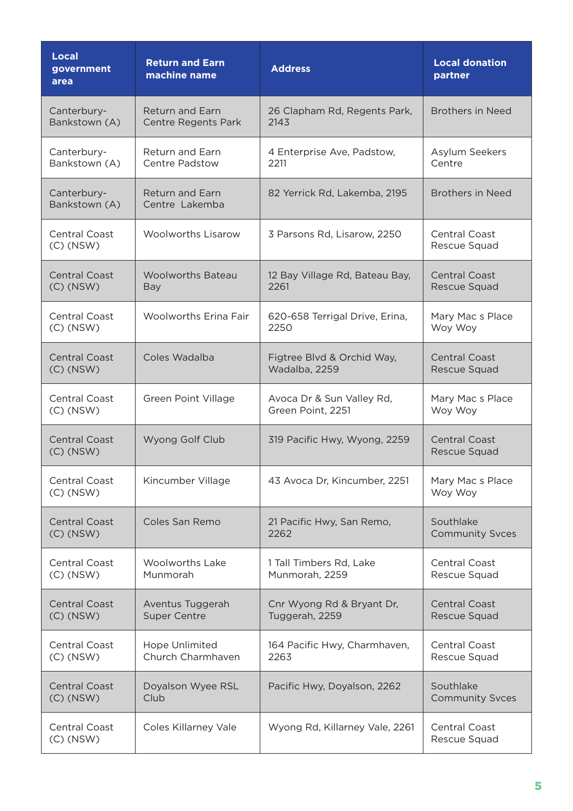| <b>Local</b><br>government<br>area  | <b>Return and Earn</b><br>machine name | <b>Address</b>                 | <b>Local donation</b><br>partner     |
|-------------------------------------|----------------------------------------|--------------------------------|--------------------------------------|
| Canterbury-                         | <b>Return and Earn</b>                 | 26 Clapham Rd, Regents Park,   | <b>Brothers in Need</b>              |
| Bankstown (A)                       | <b>Centre Regents Park</b>             | 2143                           |                                      |
| Canterbury-                         | Return and Earn                        | 4 Enterprise Ave, Padstow,     | Asylum Seekers                       |
| Bankstown (A)                       | Centre Padstow                         | 2211                           | Centre                               |
| Canterbury-<br>Bankstown (A)        | Return and Earn<br>Centre Lakemba      | 82 Yerrick Rd, Lakemba, 2195   | <b>Brothers in Need</b>              |
| <b>Central Coast</b><br>$(C)$ (NSW) | <b>Woolworths Lisarow</b>              | 3 Parsons Rd, Lisarow, 2250    | <b>Central Coast</b><br>Rescue Squad |
| <b>Central Coast</b>                | <b>Woolworths Bateau</b>               | 12 Bay Village Rd, Bateau Bay, | Central Coast                        |
| $(C)$ (NSW)                         | <b>Bay</b>                             | 2261                           | Rescue Squad                         |
| <b>Central Coast</b>                | <b>Woolworths Erina Fair</b>           | 620-658 Terrigal Drive, Erina, | Mary Mac s Place                     |
| $(C)$ (NSW)                         |                                        | 2250                           | Woy Woy                              |
| <b>Central Coast</b>                | Coles Wadalba                          | Figtree Blvd & Orchid Way,     | <b>Central Coast</b>                 |
| $(C)$ (NSW)                         |                                        | Wadalba, 2259                  | Rescue Squad                         |
| <b>Central Coast</b>                | <b>Green Point Village</b>             | Avoca Dr & Sun Valley Rd,      | Mary Mac s Place                     |
| $(C)$ (NSW)                         |                                        | Green Point, 2251              | Woy Woy                              |
| <b>Central Coast</b><br>$(C)$ (NSW) | Wyong Golf Club                        | 319 Pacific Hwy, Wyong, 2259   | <b>Central Coast</b><br>Rescue Squad |
| <b>Central Coast</b><br>$(C)$ (NSW) | Kincumber Village                      | 43 Avoca Dr, Kincumber, 2251   | Mary Mac s Place<br>Woy Woy          |
| <b>Central Coast</b>                | Coles San Remo                         | 21 Pacific Hwy, San Remo,      | Southlake                            |
| $(C)$ (NSW)                         |                                        | 2262                           | <b>Community Svces</b>               |
| <b>Central Coast</b>                | <b>Woolworths Lake</b>                 | 1 Tall Timbers Rd, Lake        | <b>Central Coast</b>                 |
| $(C)$ (NSW)                         | Munmorah                               | Munmorah, 2259                 | Rescue Squad                         |
| <b>Central Coast</b>                | Aventus Tuggerah                       | Cnr Wyong Rd & Bryant Dr,      | <b>Central Coast</b>                 |
| $(C)$ (NSW)                         | <b>Super Centre</b>                    | Tuggerah, 2259                 | Rescue Squad                         |
| <b>Central Coast</b>                | Hope Unlimited                         | 164 Pacific Hwy, Charmhaven,   | <b>Central Coast</b>                 |
| $(C)$ (NSW)                         | Church Charmhaven                      | 2263                           | Rescue Squad                         |
| <b>Central Coast</b>                | Doyalson Wyee RSL                      | Pacific Hwy, Doyalson, 2262    | Southlake                            |
| $(C)$ (NSW)                         | Club                                   |                                | <b>Community Svces</b>               |
| <b>Central Coast</b><br>$(C)$ (NSW) | Coles Killarney Vale                   | Wyong Rd, Killarney Vale, 2261 | <b>Central Coast</b><br>Rescue Squad |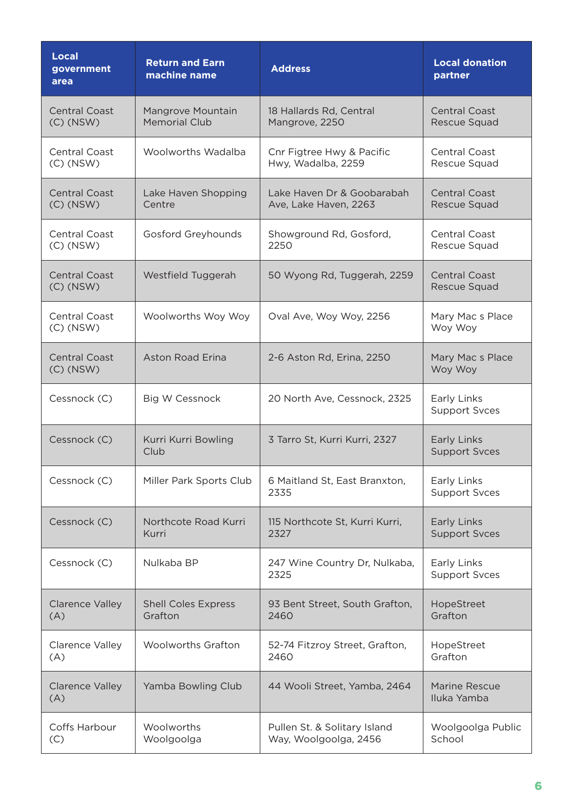| <b>Local</b><br>government<br>area  | <b>Return and Earn</b><br>machine name    | <b>Address</b>                                        | <b>Local donation</b><br>partner     |
|-------------------------------------|-------------------------------------------|-------------------------------------------------------|--------------------------------------|
| <b>Central Coast</b><br>$(C)$ (NSW) | Mangrove Mountain<br><b>Memorial Club</b> | 18 Hallards Rd, Central<br>Mangrove, 2250             | <b>Central Coast</b><br>Rescue Squad |
| <b>Central Coast</b><br>$(C)$ (NSW) | Woolworths Wadalba                        | Cnr Figtree Hwy & Pacific<br>Hwy, Wadalba, 2259       | <b>Central Coast</b><br>Rescue Squad |
| <b>Central Coast</b><br>$(C)$ (NSW) | Lake Haven Shopping<br>Centre             | Lake Haven Dr & Goobarabah<br>Ave, Lake Haven, 2263   | <b>Central Coast</b><br>Rescue Squad |
| <b>Central Coast</b><br>$(C)$ (NSW) | <b>Gosford Greyhounds</b>                 | Showground Rd, Gosford,<br>2250                       | <b>Central Coast</b><br>Rescue Squad |
| <b>Central Coast</b><br>$(C)$ (NSW) | Westfield Tuggerah                        | 50 Wyong Rd, Tuggerah, 2259                           | <b>Central Coast</b><br>Rescue Squad |
| Central Coast<br>$(C)$ (NSW)        | Woolworths Woy Woy                        | Oval Ave, Woy Woy, 2256                               | Mary Mac s Place<br>Woy Woy          |
| <b>Central Coast</b><br>$(C)$ (NSW) | Aston Road Erina                          | 2-6 Aston Rd, Erina, 2250                             | Mary Mac s Place<br>Woy Woy          |
| Cessnock (C)                        | <b>Big W Cessnock</b>                     | 20 North Ave, Cessnock, 2325                          | Early Links<br><b>Support Svces</b>  |
| Cessnock (C)                        | Kurri Kurri Bowling<br>Club               | 3 Tarro St, Kurri Kurri, 2327                         | Early Links<br><b>Support Svces</b>  |
| Cessnock (C)                        | Miller Park Sports Club                   | 6 Maitland St, East Branxton,<br>2335                 | Early Links<br><b>Support Svces</b>  |
| Cessnock (C)                        | Northcote Road Kurri<br>Kurri             | 115 Northcote St, Kurri Kurri,<br>2327                | Early Links<br><b>Support Svces</b>  |
| Cessnock (C)                        | Nulkaba BP                                | 247 Wine Country Dr, Nulkaba,<br>2325                 | Early Links<br><b>Support Svces</b>  |
| <b>Clarence Valley</b><br>(A)       | <b>Shell Coles Express</b><br>Grafton     | 93 Bent Street, South Grafton,<br>2460                | HopeStreet<br>Grafton                |
| Clarence Valley<br>(A)              | <b>Woolworths Grafton</b>                 | 52-74 Fitzroy Street, Grafton,<br>2460                | HopeStreet<br>Grafton                |
| <b>Clarence Valley</b><br>(A)       | Yamba Bowling Club                        | 44 Wooli Street, Yamba, 2464                          | <b>Marine Rescue</b><br>Iluka Yamba  |
| Coffs Harbour<br>(C)                | Woolworths<br>Woolgoolga                  | Pullen St. & Solitary Island<br>Way, Woolgoolga, 2456 | Woolgoolga Public<br>School          |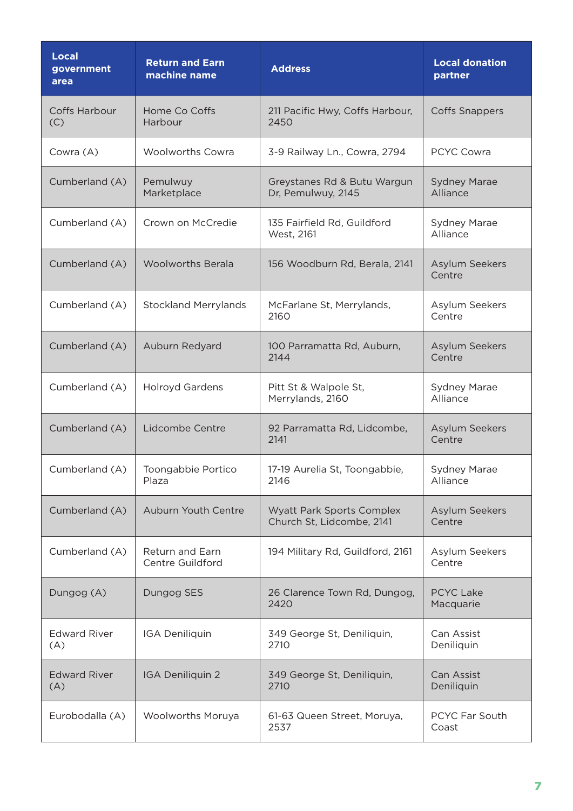| <b>Local</b><br>government<br>area | <b>Return and Earn</b><br>machine name     | <b>Address</b>                                                | <b>Local donation</b><br>partner |
|------------------------------------|--------------------------------------------|---------------------------------------------------------------|----------------------------------|
| <b>Coffs Harbour</b><br>(C)        | Home Co Coffs<br>Harbour                   | 211 Pacific Hwy, Coffs Harbour,<br>2450                       | <b>Coffs Snappers</b>            |
| Cowra (A)                          | <b>Woolworths Cowra</b>                    | 3-9 Railway Ln., Cowra, 2794                                  | <b>PCYC Cowra</b>                |
| Cumberland (A)                     | Pemulwuy<br>Marketplace                    | Greystanes Rd & Butu Wargun<br>Dr, Pemulwuy, 2145             | <b>Sydney Marae</b><br>Alliance  |
| Cumberland (A)                     | Crown on McCredie                          | 135 Fairfield Rd, Guildford<br>West, 2161                     | <b>Sydney Marae</b><br>Alliance  |
| Cumberland (A)                     | <b>Woolworths Berala</b>                   | 156 Woodburn Rd, Berala, 2141                                 | <b>Asylum Seekers</b><br>Centre  |
| Cumberland (A)                     | <b>Stockland Merrylands</b>                | McFarlane St, Merrylands,<br>2160                             | Asylum Seekers<br>Centre         |
| Cumberland (A)                     | Auburn Redyard                             | 100 Parramatta Rd, Auburn,<br>2144                            | Asylum Seekers<br>Centre         |
| Cumberland (A)                     | <b>Holroyd Gardens</b>                     | Pitt St & Walpole St,<br>Merrylands, 2160                     | <b>Sydney Marae</b><br>Alliance  |
| Cumberland (A)                     | Lidcombe Centre                            | 92 Parramatta Rd, Lidcombe,<br>2141                           | <b>Asylum Seekers</b><br>Centre  |
| Cumberland (A)                     | Toongabbie Portico<br>Plaza                | 17-19 Aurelia St, Toongabbie,<br>2146                         | <b>Sydney Marae</b><br>Alliance  |
| Cumberland (A)                     | Auburn Youth Centre                        | <b>Wyatt Park Sports Complex</b><br>Church St, Lidcombe, 2141 | Asylum Seekers<br>Centre         |
| Cumberland (A)                     | <b>Return and Earn</b><br>Centre Guildford | 194 Military Rd, Guildford, 2161                              | Asylum Seekers<br>Centre         |
| Dungog (A)                         | Dungog SES                                 | 26 Clarence Town Rd, Dungog,<br>2420                          | <b>PCYC Lake</b><br>Macquarie    |
| <b>Edward River</b><br>(A)         | IGA Deniliquin                             | 349 George St, Deniliquin,<br>2710                            | Can Assist<br>Deniliquin         |
| <b>Edward River</b><br>(A)         | IGA Deniliquin 2                           | 349 George St, Deniliquin,<br>2710                            | Can Assist<br>Deniliquin         |
| Eurobodalla (A)                    | <b>Woolworths Moruya</b>                   | 61-63 Queen Street, Moruya,<br>2537                           | PCYC Far South<br>Coast          |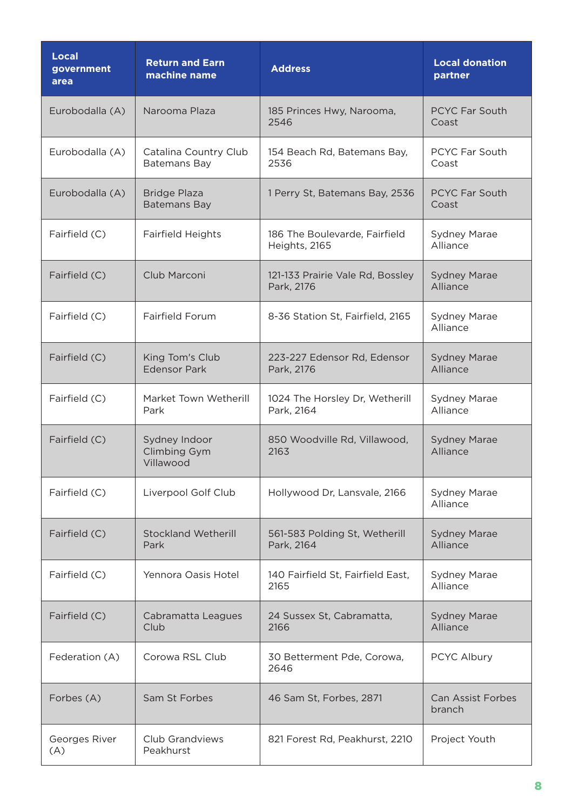| <b>Local</b><br>government<br>area | <b>Return and Earn</b><br>machine name     | <b>Address</b>                                 | <b>Local donation</b><br>partner   |
|------------------------------------|--------------------------------------------|------------------------------------------------|------------------------------------|
| Eurobodalla (A)                    | Narooma Plaza                              | 185 Princes Hwy, Narooma,<br>2546              | <b>PCYC Far South</b><br>Coast     |
| Eurobodalla (A)                    | Catalina Country Club<br>Batemans Bay      | 154 Beach Rd, Batemans Bay,<br>2536            | PCYC Far South<br>Coast            |
| Eurobodalla (A)                    | <b>Bridge Plaza</b><br><b>Batemans Bay</b> | 1 Perry St, Batemans Bay, 2536                 | <b>PCYC Far South</b><br>Coast     |
| Fairfield (C)                      | <b>Fairfield Heights</b>                   | 186 The Boulevarde, Fairfield<br>Heights, 2165 | <b>Sydney Marae</b><br>Alliance    |
| Fairfield (C)                      | Club Marconi                               | 121-133 Prairie Vale Rd, Bossley<br>Park, 2176 | <b>Sydney Marae</b><br>Alliance    |
| Fairfield (C)                      | <b>Fairfield Forum</b>                     | 8-36 Station St, Fairfield, 2165               | <b>Sydney Marae</b><br>Alliance    |
| Fairfield (C)                      | King Tom's Club<br><b>Edensor Park</b>     | 223-227 Edensor Rd, Edensor<br>Park, 2176      | <b>Sydney Marae</b><br>Alliance    |
| Fairfield (C)                      | Market Town Wetherill<br>Park              | 1024 The Horsley Dr, Wetherill<br>Park, 2164   | <b>Sydney Marae</b><br>Alliance    |
| Fairfield (C)                      | Sydney Indoor<br>Climbing Gym<br>Villawood | 850 Woodville Rd, Villawood,<br>2163           | <b>Sydney Marae</b><br>Alliance    |
| Fairfield (C)                      | Liverpool Golf Club                        | Hollywood Dr, Lansvale, 2166                   | <b>Sydney Marae</b><br>Alliance    |
| Fairfield (C)                      | <b>Stockland Wetherill</b><br>Park         | 561-583 Polding St, Wetherill<br>Park, 2164    | <b>Sydney Marae</b><br>Alliance    |
| Fairfield (C)                      | Yennora Oasis Hotel                        | 140 Fairfield St, Fairfield East,<br>2165      | <b>Sydney Marae</b><br>Alliance    |
| Fairfield (C)                      | Cabramatta Leagues<br>Club                 | 24 Sussex St, Cabramatta,<br>2166              | <b>Sydney Marae</b><br>Alliance    |
| Federation (A)                     | Corowa RSL Club                            | 30 Betterment Pde, Corowa,<br>2646             | PCYC Albury                        |
| Forbes (A)                         | Sam St Forbes                              | 46 Sam St, Forbes, 2871                        | <b>Can Assist Forbes</b><br>branch |
| Georges River<br>(A)               | Club Grandviews<br>Peakhurst               | 821 Forest Rd, Peakhurst, 2210                 | Project Youth                      |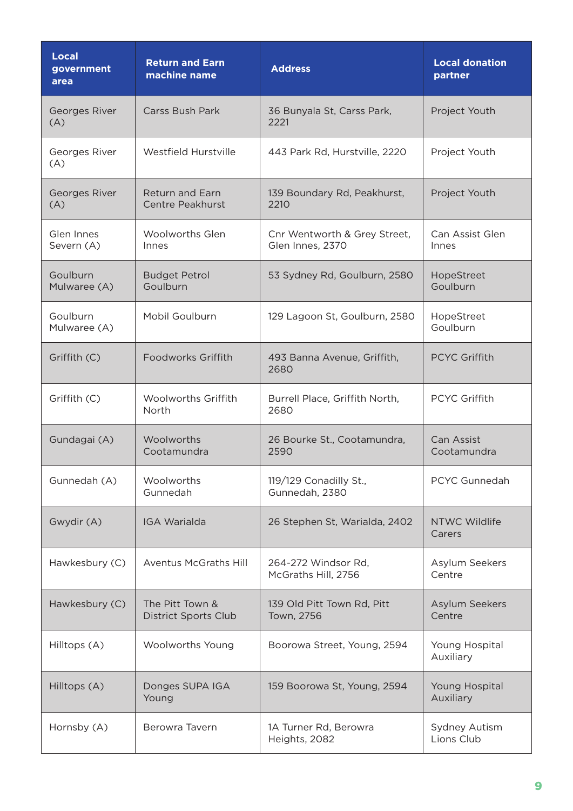| <b>Local</b><br>government<br>area | <b>Return and Earn</b><br>machine name         | <b>Address</b>                                   | <b>Local donation</b><br>partner |
|------------------------------------|------------------------------------------------|--------------------------------------------------|----------------------------------|
| Georges River<br>(A)               | <b>Carss Bush Park</b>                         | 36 Bunyala St, Carss Park,<br>2221               | Project Youth                    |
| Georges River<br>(A)               | Westfield Hurstville                           | 443 Park Rd, Hurstville, 2220                    | Project Youth                    |
| <b>Georges River</b><br>(A)        | <b>Return and Earn</b><br>Centre Peakhurst     | 139 Boundary Rd, Peakhurst,<br>2210              | Project Youth                    |
| Glen Innes<br>Severn (A)           | <b>Woolworths Glen</b><br>Innes                | Cnr Wentworth & Grey Street,<br>Glen Innes, 2370 | Can Assist Glen<br>Innes         |
| Goulburn<br>Mulwaree (A)           | <b>Budget Petrol</b><br>Goulburn               | 53 Sydney Rd, Goulburn, 2580                     | HopeStreet<br>Goulburn           |
| Goulburn<br>Mulwaree (A)           | Mobil Goulburn                                 | 129 Lagoon St, Goulburn, 2580                    | HopeStreet<br>Goulburn           |
| Griffith (C)                       | Foodworks Griffith                             | 493 Banna Avenue, Griffith,<br>2680              | <b>PCYC Griffith</b>             |
| Griffith (C)                       | <b>Woolworths Griffith</b><br>North            | Burrell Place, Griffith North,<br>2680           | <b>PCYC Griffith</b>             |
| Gundagai (A)                       | Woolworths<br>Cootamundra                      | 26 Bourke St., Cootamundra,<br>2590              | Can Assist<br>Cootamundra        |
| Gunnedah (A)                       | Woolworths<br>Gunnedah                         | 119/129 Conadilly St.,<br>Gunnedah, 2380         | PCYC Gunnedah                    |
| Gwydir (A)                         | <b>IGA Warialda</b>                            | 26 Stephen St, Warialda, 2402                    | <b>NTWC Wildlife</b><br>Carers   |
| Hawkesbury (C)                     | <b>Aventus McGraths Hill</b>                   | 264-272 Windsor Rd,<br>McGraths Hill, 2756       | Asylum Seekers<br>Centre         |
| Hawkesbury (C)                     | The Pitt Town &<br><b>District Sports Club</b> | 139 Old Pitt Town Rd, Pitt<br>Town, 2756         | Asylum Seekers<br>Centre         |
| Hilltops (A)                       | Woolworths Young                               | Boorowa Street, Young, 2594                      | Young Hospital<br>Auxiliary      |
| Hilltops (A)                       | Donges SUPA IGA<br>Young                       | 159 Boorowa St, Young, 2594                      | Young Hospital<br>Auxiliary      |
| Hornsby (A)                        | Berowra Tavern                                 | 1A Turner Rd, Berowra<br>Heights, 2082           | Sydney Autism<br>Lions Club      |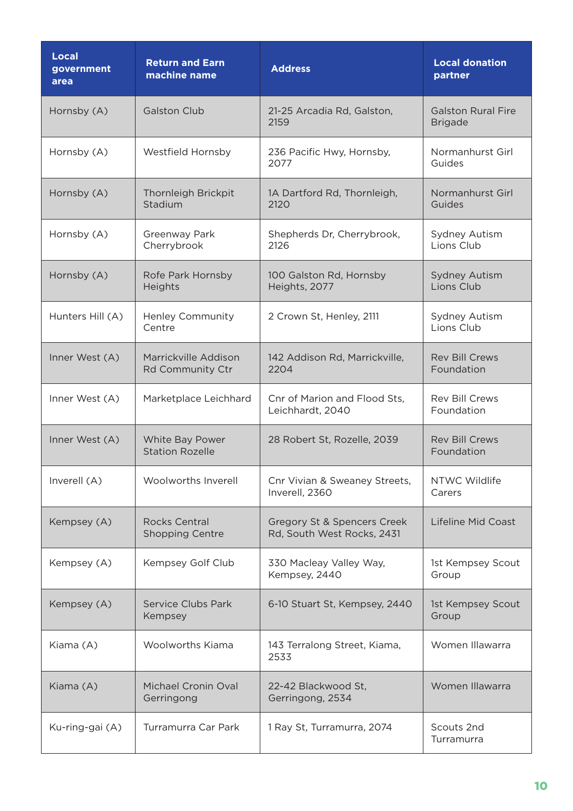| <b>Local</b><br>government<br>area | <b>Return and Earn</b><br>machine name         | <b>Address</b>                                            | <b>Local donation</b><br>partner            |
|------------------------------------|------------------------------------------------|-----------------------------------------------------------|---------------------------------------------|
| Hornsby (A)                        | <b>Galston Club</b>                            | 21-25 Arcadia Rd, Galston,<br>2159                        | <b>Galston Rural Fire</b><br><b>Brigade</b> |
| Hornsby (A)                        | Westfield Hornsby                              | 236 Pacific Hwy, Hornsby,<br>2077                         | Normanhurst Girl<br>Guides                  |
| Hornsby (A)                        | Thornleigh Brickpit<br>Stadium                 | 1A Dartford Rd, Thornleigh,<br>2120                       | Normanhurst Girl<br>Guides                  |
| Hornsby (A)                        | Greenway Park<br>Cherrybrook                   | Shepherds Dr, Cherrybrook,<br>2126                        | Sydney Autism<br>Lions Club                 |
| Hornsby (A)                        | Rofe Park Hornsby<br>Heights                   | 100 Galston Rd, Hornsby<br>Heights, 2077                  | <b>Sydney Autism</b><br>Lions Club          |
| Hunters Hill (A)                   | <b>Henley Community</b><br>Centre              | 2 Crown St, Henley, 2111                                  | <b>Sydney Autism</b><br>Lions Club          |
| Inner West (A)                     | Marrickville Addison<br>Rd Community Ctr       | 142 Addison Rd, Marrickville,<br>2204                     | <b>Rev Bill Crews</b><br>Foundation         |
| Inner West (A)                     | Marketplace Leichhard                          | Cnr of Marion and Flood Sts,<br>Leichhardt, 2040          | <b>Rev Bill Crews</b><br>Foundation         |
| Inner West (A)                     | White Bay Power<br><b>Station Rozelle</b>      | 28 Robert St, Rozelle, 2039                               | <b>Rev Bill Crews</b><br>Foundation         |
| Inverell (A)                       | Woolworths Inverell                            | Cnr Vivian & Sweaney Streets,<br>Inverell, 2360           | NTWC Wildlife<br>Carers                     |
| Kempsey (A)                        | <b>Rocks Central</b><br><b>Shopping Centre</b> | Gregory St & Spencers Creek<br>Rd, South West Rocks, 2431 | Lifeline Mid Coast                          |
| Kempsey (A)                        | Kempsey Golf Club                              | 330 Macleay Valley Way,<br>Kempsey, 2440                  | 1st Kempsey Scout<br>Group                  |
| Kempsey (A)                        | Service Clubs Park<br>Kempsey                  | 6-10 Stuart St, Kempsey, 2440                             | 1st Kempsey Scout<br>Group                  |
| Kiama (A)                          | <b>Woolworths Kiama</b>                        | 143 Terralong Street, Kiama,<br>2533                      | Women Illawarra                             |
| Kiama (A)                          | Michael Cronin Oval<br>Gerringong              | 22-42 Blackwood St,<br>Gerringong, 2534                   | Women Illawarra                             |
| Ku-ring-gai (A)                    | Turramurra Car Park                            | 1 Ray St, Turramurra, 2074                                | Scouts 2nd<br>Turramurra                    |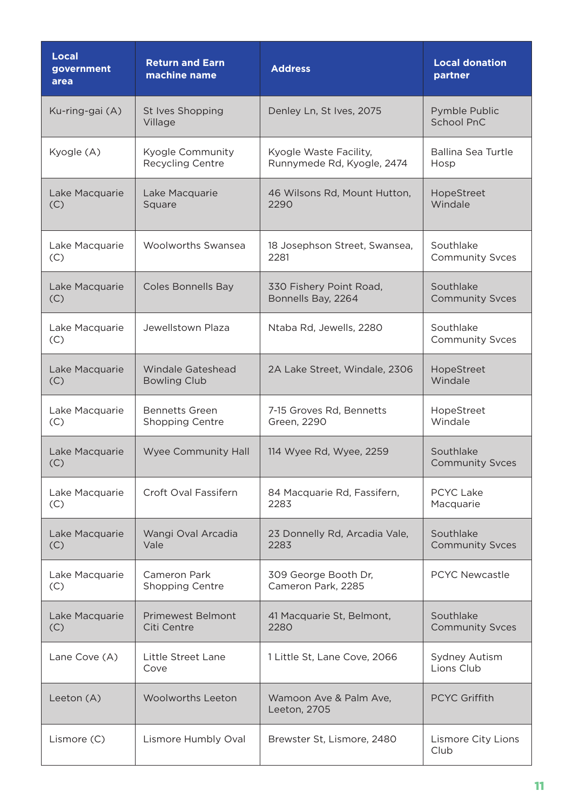| <b>Local</b><br>government<br>area | <b>Return and Earn</b><br>machine name | <b>Address</b>                         | <b>Local donation</b><br>partner    |
|------------------------------------|----------------------------------------|----------------------------------------|-------------------------------------|
| Ku-ring-gai (A)                    | St Ives Shopping<br>Village            | Denley Ln, St Ives, 2075               | Pymble Public<br><b>School PnC</b>  |
| Kyogle (A)                         | Kyogle Community                       | Kyogle Waste Facility,                 | <b>Ballina Sea Turtle</b>           |
|                                    | <b>Recycling Centre</b>                | Runnymede Rd, Kyogle, 2474             | Hosp                                |
| Lake Macquarie                     | Lake Macquarie                         | 46 Wilsons Rd, Mount Hutton,           | HopeStreet                          |
| (C)                                | Square                                 | 2290                                   | Windale                             |
| Lake Macquarie                     | <b>Woolworths Swansea</b>              | 18 Josephson Street, Swansea,          | Southlake                           |
| (C)                                |                                        | 2281                                   | <b>Community Svces</b>              |
| Lake Macquarie                     | <b>Coles Bonnells Bay</b>              | 330 Fishery Point Road,                | Southlake                           |
| (C)                                |                                        | Bonnells Bay, 2264                     | <b>Community Svces</b>              |
| Lake Macquarie<br>(C)              | Jewellstown Plaza                      | Ntaba Rd, Jewells, 2280                | Southlake<br><b>Community Svces</b> |
| Lake Macquarie                     | <b>Windale Gateshead</b>               | 2A Lake Street, Windale, 2306          | HopeStreet                          |
| (C)                                | <b>Bowling Club</b>                    |                                        | Windale                             |
| Lake Macquarie                     | <b>Bennetts Green</b>                  | 7-15 Groves Rd, Bennetts               | HopeStreet                          |
| (C)                                | Shopping Centre                        | Green, 2290                            | Windale                             |
| Lake Macquarie<br>(C)              | <b>Wyee Community Hall</b>             | 114 Wyee Rd, Wyee, 2259                | Southlake<br><b>Community Svces</b> |
| Lake Macquarie                     | Croft Oval Fassifern                   | 84 Macquarie Rd, Fassifern,            | <b>PCYC Lake</b>                    |
| (C)                                |                                        | 2283                                   | Macquarie                           |
| Lake Macquarie                     | Wangi Oval Arcadia                     | 23 Donnelly Rd, Arcadia Vale,          | Southlake                           |
| (C)                                | Vale                                   | 2283                                   | <b>Community Svces</b>              |
| Lake Macquarie                     | Cameron Park                           | 309 George Booth Dr,                   | <b>PCYC Newcastle</b>               |
| (C)                                | <b>Shopping Centre</b>                 | Cameron Park, 2285                     |                                     |
| Lake Macquarie                     | <b>Primewest Belmont</b>               | 41 Macquarie St, Belmont,              | Southlake                           |
| (C)                                | Citi Centre                            | 2280                                   | <b>Community Svces</b>              |
| Lane Cove (A)                      | Little Street Lane<br>Cove             | 1 Little St, Lane Cove, 2066           | Sydney Autism<br>Lions Club         |
| Leeton (A)                         | <b>Woolworths Leeton</b>               | Wamoon Ave & Palm Ave,<br>Leeton, 2705 | <b>PCYC Griffith</b>                |
| Lismore (C)                        | Lismore Humbly Oval                    | Brewster St, Lismore, 2480             | Lismore City Lions<br>Club          |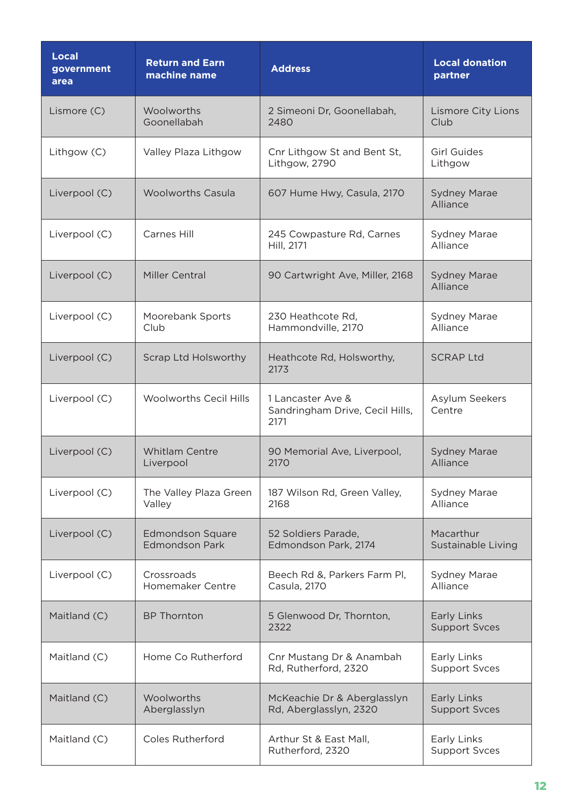| <b>Local</b><br>government<br>area | <b>Return and Earn</b><br>machine name           | <b>Address</b>                                               | <b>Local donation</b><br>partner    |
|------------------------------------|--------------------------------------------------|--------------------------------------------------------------|-------------------------------------|
| Lismore (C)                        | Woolworths<br>Goonellabah                        | 2 Simeoni Dr, Goonellabah,<br>2480                           | <b>Lismore City Lions</b><br>Club   |
| Lithgow (C)                        | Valley Plaza Lithgow                             | Cnr Lithgow St and Bent St,<br>Lithgow, 2790                 | <b>Girl Guides</b><br>Lithgow       |
| Liverpool (C)                      | <b>Woolworths Casula</b>                         | 607 Hume Hwy, Casula, 2170                                   | <b>Sydney Marae</b><br>Alliance     |
| Liverpool (C)                      | Carnes Hill                                      | 245 Cowpasture Rd, Carnes<br>Hill, 2171                      | <b>Sydney Marae</b><br>Alliance     |
| Liverpool (C)                      | Miller Central                                   | 90 Cartwright Ave, Miller, 2168                              | <b>Sydney Marae</b><br>Alliance     |
| Liverpool (C)                      | Moorebank Sports<br>Club                         | 230 Heathcote Rd,<br>Hammondville, 2170                      | <b>Sydney Marae</b><br>Alliance     |
| Liverpool (C)                      | Scrap Ltd Holsworthy                             | Heathcote Rd, Holsworthy,<br>2173                            | <b>SCRAP Ltd</b>                    |
| Liverpool (C)                      | <b>Woolworths Cecil Hills</b>                    | 1 Lancaster Ave &<br>Sandringham Drive, Cecil Hills,<br>2171 | Asylum Seekers<br>Centre            |
| Liverpool (C)                      | Whitlam Centre<br>Liverpool                      | 90 Memorial Ave, Liverpool,<br>2170                          | <b>Sydney Marae</b><br>Alliance     |
| Liverpool (C)                      | The Valley Plaza Green<br>Valley                 | 187 Wilson Rd, Green Valley,<br>2168                         | Sydney Marae<br>Alliance            |
| Liverpool (C)                      | <b>Edmondson Square</b><br><b>Edmondson Park</b> | 52 Soldiers Parade,<br>Edmondson Park, 2174                  | Macarthur<br>Sustainable Living     |
| Liverpool (C)                      | Crossroads<br>Homemaker Centre                   | Beech Rd &, Parkers Farm Pl,<br>Casula, 2170                 | <b>Sydney Marae</b><br>Alliance     |
| Maitland (C)                       | <b>BP Thornton</b>                               | 5 Glenwood Dr, Thornton,<br>2322                             | Early Links<br><b>Support Svces</b> |
| Maitland (C)                       | Home Co Rutherford                               | Cnr Mustang Dr & Anambah<br>Rd, Rutherford, 2320             | Early Links<br><b>Support Svces</b> |
| Maitland (C)                       | Woolworths<br>Aberglasslyn                       | McKeachie Dr & Aberglasslyn<br>Rd, Aberglasslyn, 2320        | Early Links<br><b>Support Svces</b> |
| Maitland (C)                       | <b>Coles Rutherford</b>                          | Arthur St & East Mall,<br>Rutherford, 2320                   | Early Links<br><b>Support Svces</b> |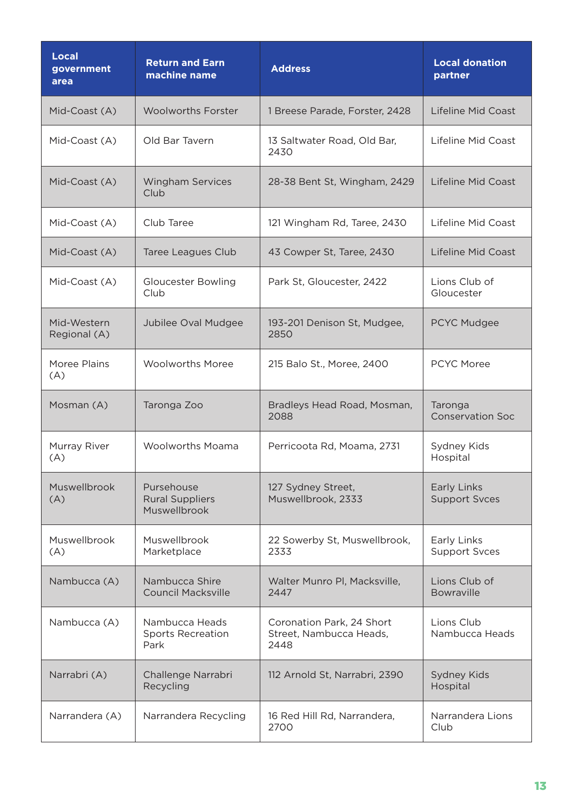| Local<br>government<br>area | <b>Return and Earn</b><br>machine name               | <b>Address</b>                                               | <b>Local donation</b><br>partner    |
|-----------------------------|------------------------------------------------------|--------------------------------------------------------------|-------------------------------------|
| Mid-Coast (A)               | <b>Woolworths Forster</b>                            | 1 Breese Parade, Forster, 2428                               | Lifeline Mid Coast                  |
| Mid-Coast (A)               | Old Bar Tavern                                       | 13 Saltwater Road, Old Bar,<br>2430                          | Lifeline Mid Coast                  |
| Mid-Coast (A)               | <b>Wingham Services</b><br>Club                      | 28-38 Bent St, Wingham, 2429                                 | <b>Lifeline Mid Coast</b>           |
| Mid-Coast (A)               | Club Taree                                           | 121 Wingham Rd, Taree, 2430                                  | Lifeline Mid Coast                  |
| Mid-Coast (A)               | <b>Taree Leagues Club</b>                            | 43 Cowper St, Taree, 2430                                    | Lifeline Mid Coast                  |
| Mid-Coast (A)               | <b>Gloucester Bowling</b><br>Club                    | Park St, Gloucester, 2422                                    | Lions Club of<br>Gloucester         |
| Mid-Western<br>Regional (A) | Jubilee Oval Mudgee                                  | 193-201 Denison St, Mudgee,<br>2850                          | PCYC Mudgee                         |
| Moree Plains<br>(A)         | <b>Woolworths Moree</b>                              | 215 Balo St., Moree, 2400                                    | <b>PCYC Moree</b>                   |
| Mosman (A)                  | Taronga Zoo                                          | Bradleys Head Road, Mosman,<br>2088                          | Taronga<br><b>Conservation Soc</b>  |
| Murray River<br>(A)         | <b>Woolworths Moama</b>                              | Perricoota Rd, Moama, 2731                                   | Sydney Kids<br>Hospital             |
| Muswellbrook<br>(A)         | Pursehouse<br><b>Rural Suppliers</b><br>Muswellbrook | 127 Sydney Street,<br>Muswellbrook, 2333                     | Early Links<br><b>Support Svces</b> |
| Muswellbrook<br>(A)         | Muswellbrook<br>Marketplace                          | 22 Sowerby St, Muswellbrook,<br>2333                         | Early Links<br><b>Support Svces</b> |
| Nambucca (A)                | Nambucca Shire<br><b>Council Macksville</b>          | Walter Munro Pl, Macksville,<br>2447                         | Lions Club of<br><b>Bowraville</b>  |
| Nambucca (A)                | Nambucca Heads<br><b>Sports Recreation</b><br>Park   | Coronation Park, 24 Short<br>Street, Nambucca Heads,<br>2448 | Lions Club<br>Nambucca Heads        |
| Narrabri (A)                | Challenge Narrabri<br>Recycling                      | 112 Arnold St, Narrabri, 2390                                | <b>Sydney Kids</b><br>Hospital      |
| Narrandera (A)              | Narrandera Recycling                                 | 16 Red Hill Rd, Narrandera,<br>2700                          | Narrandera Lions<br>Club            |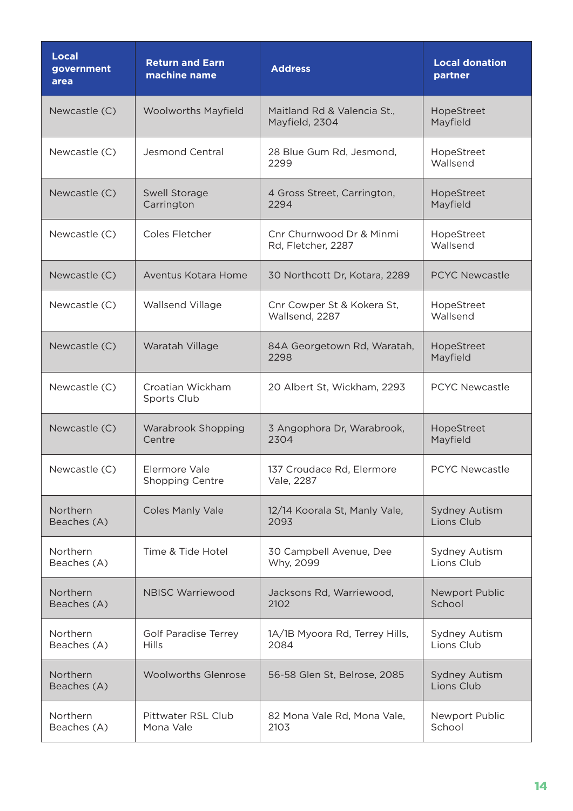| <b>Local</b><br>government<br>area | <b>Return and Earn</b><br>machine name      | <b>Address</b>                                 | <b>Local donation</b><br>partner   |
|------------------------------------|---------------------------------------------|------------------------------------------------|------------------------------------|
| Newcastle (C)                      | <b>Woolworths Mayfield</b>                  | Maitland Rd & Valencia St.,<br>Mayfield, 2304  | HopeStreet<br>Mayfield             |
| Newcastle (C)                      | <b>Jesmond Central</b>                      | 28 Blue Gum Rd, Jesmond,<br>2299               | HopeStreet<br>Wallsend             |
| Newcastle (C)                      | Swell Storage<br>Carrington                 | 4 Gross Street, Carrington,<br>2294            | HopeStreet<br>Mayfield             |
| Newcastle (C)                      | Coles Fletcher                              | Cnr Churnwood Dr & Minmi<br>Rd, Fletcher, 2287 | HopeStreet<br>Wallsend             |
| Newcastle (C)                      | Aventus Kotara Home                         | 30 Northcott Dr, Kotara, 2289                  | <b>PCYC Newcastle</b>              |
| Newcastle (C)                      | Wallsend Village                            | Cnr Cowper St & Kokera St,<br>Wallsend, 2287   | HopeStreet<br>Wallsend             |
| Newcastle (C)                      | Waratah Village                             | 84A Georgetown Rd, Waratah,<br>2298            | HopeStreet<br>Mayfield             |
| Newcastle (C)                      | Croatian Wickham<br>Sports Club             | 20 Albert St, Wickham, 2293                    | <b>PCYC Newcastle</b>              |
| Newcastle (C)                      | <b>Warabrook Shopping</b><br>Centre         | 3 Angophora Dr, Warabrook,<br>2304             | HopeStreet<br>Mayfield             |
| Newcastle (C)                      | Elermore Vale<br><b>Shopping Centre</b>     | 137 Croudace Rd, Elermore<br>Vale, 2287        | PCYC Newcastle                     |
| Northern<br>Beaches (A)            | <b>Coles Manly Vale</b>                     | 12/14 Koorala St, Manly Vale,<br>2093          | <b>Sydney Autism</b><br>Lions Club |
| Northern<br>Beaches (A)            | Time & Tide Hotel                           | 30 Campbell Avenue, Dee<br>Why, 2099           | Sydney Autism<br>Lions Club        |
| Northern<br>Beaches (A)            | <b>NBISC Warriewood</b>                     | Jacksons Rd, Warriewood,<br>2102               | Newport Public<br>School           |
| Northern<br>Beaches (A)            | <b>Golf Paradise Terrey</b><br><b>Hills</b> | 1A/1B Myoora Rd, Terrey Hills,<br>2084         | Sydney Autism<br>Lions Club        |
| Northern<br>Beaches (A)            | <b>Woolworths Glenrose</b>                  | 56-58 Glen St, Belrose, 2085                   | <b>Sydney Autism</b><br>Lions Club |
| Northern<br>Beaches (A)            | Pittwater RSL Club<br>Mona Vale             | 82 Mona Vale Rd, Mona Vale,<br>2103            | Newport Public<br>School           |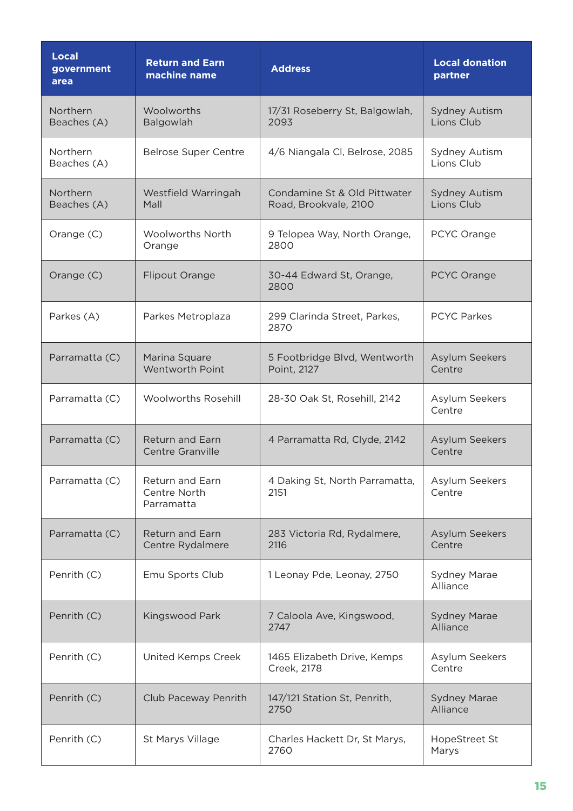| <b>Local</b><br>government<br>area | <b>Return and Earn</b><br>machine name        | <b>Address</b>                                        | <b>Local donation</b><br>partner   |
|------------------------------------|-----------------------------------------------|-------------------------------------------------------|------------------------------------|
| Northern<br>Beaches (A)            | Woolworths<br>Balgowlah                       | 17/31 Roseberry St, Balgowlah,<br>2093                | <b>Sydney Autism</b><br>Lions Club |
| Northern<br>Beaches (A)            | <b>Belrose Super Centre</b>                   | 4/6 Niangala Cl, Belrose, 2085                        | Sydney Autism<br>Lions Club        |
| Northern<br>Beaches (A)            | Westfield Warringah<br>Mall                   | Condamine St & Old Pittwater<br>Road, Brookvale, 2100 | <b>Sydney Autism</b><br>Lions Club |
| Orange (C)                         | <b>Woolworths North</b><br>Orange             | 9 Telopea Way, North Orange,<br>2800                  | PCYC Orange                        |
| Orange (C)                         | <b>Flipout Orange</b>                         | 30-44 Edward St, Orange,<br>2800                      | PCYC Orange                        |
| Parkes (A)                         | Parkes Metroplaza                             | 299 Clarinda Street, Parkes,<br>2870                  | <b>PCYC Parkes</b>                 |
| Parramatta (C)                     | Marina Square<br><b>Wentworth Point</b>       | 5 Footbridge Blvd, Wentworth<br>Point, 2127           | Asylum Seekers<br>Centre           |
| Parramatta (C)                     | <b>Woolworths Rosehill</b>                    | 28-30 Oak St, Rosehill, 2142                          | Asylum Seekers<br>Centre           |
| Parramatta (C)                     | <b>Return and Earn</b><br>Centre Granville    | 4 Parramatta Rd, Clyde, 2142                          | Asylum Seekers<br>Centre           |
| Parramatta (C)                     | Return and Earn<br>Centre North<br>Parramatta | 4 Daking St, North Parramatta,<br>2151                | Asylum Seekers<br>Centre           |
| Parramatta (C)                     | <b>Return and Earn</b><br>Centre Rydalmere    | 283 Victoria Rd, Rydalmere,<br>2116                   | Asylum Seekers<br>Centre           |
| Penrith (C)                        | Emu Sports Club                               | 1 Leonay Pde, Leonay, 2750                            | Sydney Marae<br>Alliance           |
| Penrith (C)                        | Kingswood Park                                | 7 Caloola Ave, Kingswood,<br>2747                     | <b>Sydney Marae</b><br>Alliance    |
| Penrith (C)                        | United Kemps Creek                            | 1465 Elizabeth Drive, Kemps<br>Creek, 2178            | Asylum Seekers<br>Centre           |
| Penrith (C)                        | Club Paceway Penrith                          | 147/121 Station St, Penrith,<br>2750                  | <b>Sydney Marae</b><br>Alliance    |
| Penrith (C)                        | St Marys Village                              | Charles Hackett Dr, St Marys,<br>2760                 | HopeStreet St<br>Marys             |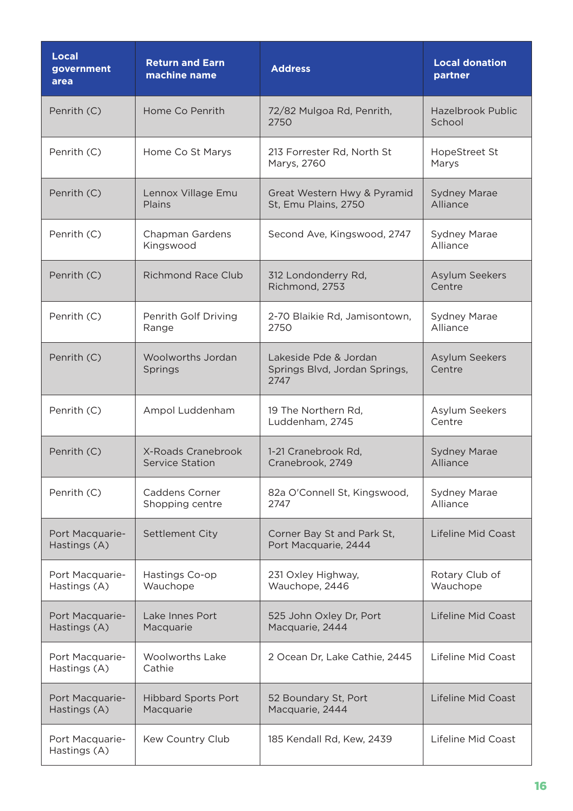| <b>Local</b><br>government<br>area | <b>Return and Earn</b><br>machine name       | <b>Address</b>                                                 | <b>Local donation</b><br>partner   |
|------------------------------------|----------------------------------------------|----------------------------------------------------------------|------------------------------------|
| Penrith (C)                        | Home Co Penrith                              | 72/82 Mulgoa Rd, Penrith,<br>2750                              | <b>Hazelbrook Public</b><br>School |
| Penrith (C)                        | Home Co St Marys                             | 213 Forrester Rd, North St<br>Marys, 2760                      | HopeStreet St<br>Marys             |
| Penrith (C)                        | Lennox Village Emu<br>Plains                 | Great Western Hwy & Pyramid<br>St, Emu Plains, 2750            | <b>Sydney Marae</b><br>Alliance    |
| Penrith (C)                        | Chapman Gardens<br>Kingswood                 | Second Ave, Kingswood, 2747                                    | <b>Sydney Marae</b><br>Alliance    |
| Penrith (C)                        | <b>Richmond Race Club</b>                    | 312 Londonderry Rd,<br>Richmond, 2753                          | <b>Asylum Seekers</b><br>Centre    |
| Penrith (C)                        | Penrith Golf Driving<br>Range                | 2-70 Blaikie Rd, Jamisontown,<br>2750                          | <b>Sydney Marae</b><br>Alliance    |
| Penrith (C)                        | Woolworths Jordan<br>Springs                 | Lakeside Pde & Jordan<br>Springs Blvd, Jordan Springs,<br>2747 | Asylum Seekers<br>Centre           |
| Penrith (C)                        | Ampol Luddenham                              | 19 The Northern Rd,<br>Luddenham, 2745                         | Asylum Seekers<br>Centre           |
| Penrith (C)                        | X-Roads Cranebrook<br><b>Service Station</b> | 1-21 Cranebrook Rd,<br>Cranebrook, 2749                        | <b>Sydney Marae</b><br>Alliance    |
| Penrith (C)                        | <b>Caddens Corner</b><br>Shopping centre     | 82a O'Connell St, Kingswood,<br>2747                           | <b>Sydney Marae</b><br>Alliance    |
| Port Macquarie-<br>Hastings (A)    | Settlement City                              | Corner Bay St and Park St,<br>Port Macquarie, 2444             | <b>Lifeline Mid Coast</b>          |
| Port Macquarie-<br>Hastings (A)    | Hastings Co-op<br>Wauchope                   | 231 Oxley Highway,<br>Wauchope, 2446                           | Rotary Club of<br>Wauchope         |
| Port Macquarie-<br>Hastings (A)    | Lake Innes Port<br>Macquarie                 | 525 John Oxley Dr, Port<br>Macquarie, 2444                     | Lifeline Mid Coast                 |
| Port Macquarie-<br>Hastings (A)    | <b>Woolworths Lake</b><br>Cathie             | 2 Ocean Dr, Lake Cathie, 2445                                  | Lifeline Mid Coast                 |
| Port Macquarie-<br>Hastings (A)    | <b>Hibbard Sports Port</b><br>Macquarie      | 52 Boundary St, Port<br>Macquarie, 2444                        | Lifeline Mid Coast                 |
| Port Macquarie-<br>Hastings (A)    | Kew Country Club                             | 185 Kendall Rd, Kew, 2439                                      | Lifeline Mid Coast                 |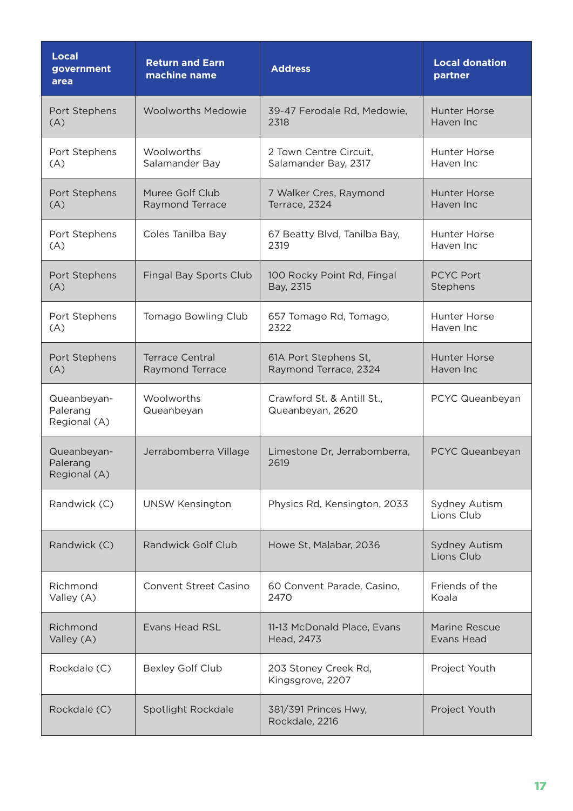| <b>Local</b><br>government<br>area      | <b>Return and Earn</b><br>machine name | <b>Address</b>                                 | <b>Local donation</b><br>partner   |
|-----------------------------------------|----------------------------------------|------------------------------------------------|------------------------------------|
| Port Stephens                           | <b>Woolworths Medowie</b>              | 39-47 Ferodale Rd, Medowie,                    | <b>Hunter Horse</b>                |
| (A)                                     |                                        | 2318                                           | Haven Inc                          |
| Port Stephens                           | Woolworths                             | 2 Town Centre Circuit,                         | <b>Hunter Horse</b>                |
| (A)                                     | Salamander Bay                         | Salamander Bay, 2317                           | Haven Inc                          |
| Port Stephens                           | Muree Golf Club                        | 7 Walker Cres, Raymond                         | <b>Hunter Horse</b>                |
| (A)                                     | Raymond Terrace                        | Terrace, 2324                                  | Haven Inc                          |
| Port Stephens                           | Coles Tanilba Bay                      | 67 Beatty Blvd, Tanilba Bay,                   | <b>Hunter Horse</b>                |
| (A)                                     |                                        | 2319                                           | Haven Inc                          |
| Port Stephens                           | <b>Fingal Bay Sports Club</b>          | 100 Rocky Point Rd, Fingal                     | <b>PCYC Port</b>                   |
| (A)                                     |                                        | Bay, 2315                                      | Stephens                           |
| Port Stephens                           | <b>Tomago Bowling Club</b>             | 657 Tomago Rd, Tomago,                         | <b>Hunter Horse</b>                |
| (A)                                     |                                        | 2322                                           | Haven Inc                          |
| Port Stephens                           | <b>Terrace Central</b>                 | 61A Port Stephens St,                          | <b>Hunter Horse</b>                |
| (A)                                     | Raymond Terrace                        | Raymond Terrace, 2324                          | Haven Inc                          |
| Queanbeyan-<br>Palerang<br>Regional (A) | Woolworths<br>Queanbeyan               | Crawford St. & Antill St.,<br>Queanbeyan, 2620 | PCYC Queanbeyan                    |
| Queanbeyan-<br>Palerang<br>Regional (A) | Jerrabomberra Village                  | Limestone Dr, Jerrabomberra,<br>2619           | PCYC Queanbeyan                    |
| Randwick (C)                            | <b>UNSW Kensington</b>                 | Physics Rd, Kensington, 2033                   | Sydney Autism<br>Lions Club        |
| Randwick (C)                            | <b>Randwick Golf Club</b>              | Howe St, Malabar, 2036                         | <b>Sydney Autism</b><br>Lions Club |
| Richmond                                | <b>Convent Street Casino</b>           | 60 Convent Parade, Casino,                     | Friends of the                     |
| Valley (A)                              |                                        | 2470                                           | Koala                              |
| Richmond                                | <b>Evans Head RSL</b>                  | 11-13 McDonald Place, Evans                    | Marine Rescue                      |
| Valley (A)                              |                                        | Head, 2473                                     | Evans Head                         |
| Rockdale (C)                            | <b>Bexley Golf Club</b>                | 203 Stoney Creek Rd,<br>Kingsgrove, 2207       | Project Youth                      |
| Rockdale (C)                            | Spotlight Rockdale                     | 381/391 Princes Hwy,<br>Rockdale, 2216         | Project Youth                      |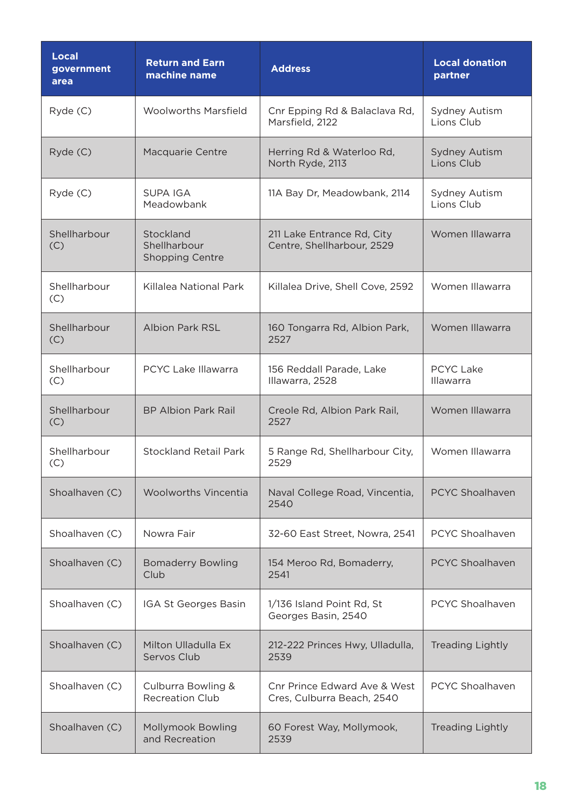| <b>Local</b><br>government<br>area | <b>Return and Earn</b><br>machine name              | <b>Address</b>                                             | <b>Local donation</b><br>partner     |
|------------------------------------|-----------------------------------------------------|------------------------------------------------------------|--------------------------------------|
| Ryde (C)                           | <b>Woolworths Marsfield</b>                         | Cnr Epping Rd & Balaclava Rd,<br>Marsfield, 2122           | <b>Sydney Autism</b><br>Lions Club   |
| Ryde (C)                           | Macquarie Centre                                    | Herring Rd & Waterloo Rd,<br>North Ryde, 2113              | <b>Sydney Autism</b><br>Lions Club   |
| Ryde (C)                           | <b>SUPA IGA</b><br>Meadowbank                       | 11A Bay Dr, Meadowbank, 2114                               | Sydney Autism<br>Lions Club          |
| Shellharbour<br>(C)                | Stockland<br>Shellharbour<br><b>Shopping Centre</b> | 211 Lake Entrance Rd, City<br>Centre, Shellharbour, 2529   | Women Illawarra                      |
| Shellharbour<br>(C)                | Killalea National Park                              | Killalea Drive, Shell Cove, 2592                           | Women Illawarra                      |
| Shellharbour<br>(C)                | <b>Albion Park RSL</b>                              | 160 Tongarra Rd, Albion Park,<br>2527                      | Women Illawarra                      |
| Shellharbour<br>(C)                | <b>PCYC Lake Illawarra</b>                          | 156 Reddall Parade, Lake<br>Illawarra, 2528                | <b>PCYC Lake</b><br><b>Illawarra</b> |
| Shellharbour<br>(C)                | <b>BP Albion Park Rail</b>                          | Creole Rd, Albion Park Rail,<br>2527                       | Women Illawarra                      |
| Shellharbour<br>(C)                | <b>Stockland Retail Park</b>                        | 5 Range Rd, Shellharbour City,<br>2529                     | Women Illawarra                      |
| Shoalhaven (C)                     | <b>Woolworths Vincentia</b>                         | Naval College Road, Vincentia,<br>2540                     | <b>PCYC Shoalhaven</b>               |
| Shoalhaven (C)                     | Nowra Fair                                          | 32-60 East Street, Nowra, 2541                             | PCYC Shoalhaven                      |
| Shoalhaven (C)                     | <b>Bomaderry Bowling</b><br>Club                    | 154 Meroo Rd, Bomaderry,<br>2541                           | <b>PCYC Shoalhaven</b>               |
| Shoalhaven (C)                     | IGA St Georges Basin                                | 1/136 Island Point Rd, St<br>Georges Basin, 2540           | PCYC Shoalhaven                      |
| Shoalhaven (C)                     | Milton Ulladulla Ex<br>Servos Club                  | 212-222 Princes Hwy, Ulladulla,<br>2539                    | <b>Treading Lightly</b>              |
| Shoalhaven (C)                     | Culburra Bowling &<br><b>Recreation Club</b>        | Cnr Prince Edward Ave & West<br>Cres, Culburra Beach, 2540 | PCYC Shoalhaven                      |
| Shoalhaven (C)                     | <b>Mollymook Bowling</b><br>and Recreation          | 60 Forest Way, Mollymook,<br>2539                          | <b>Treading Lightly</b>              |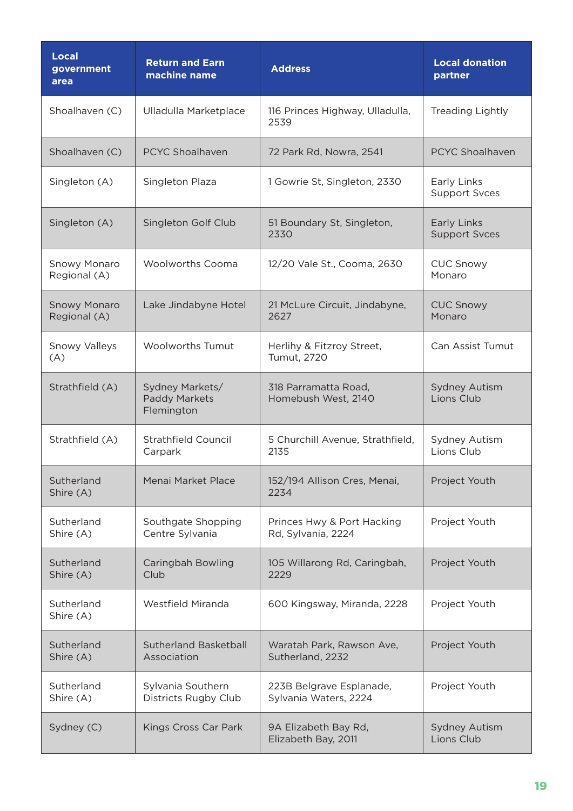| <b>Local</b><br>government<br>area  | <b>Return and Earn</b><br>machine name         | <b>Address</b>                                    | <b>Local donation</b><br>partner    |
|-------------------------------------|------------------------------------------------|---------------------------------------------------|-------------------------------------|
| Shoalhaven (C)                      | Ulladulla Marketplace                          | 116 Princes Highway, Ulladulla,<br>2539           | Treading Lightly                    |
| Shoalhaven (C)                      | <b>PCYC Shoalhaven</b>                         | 72 Park Rd, Nowra, 2541                           | <b>PCYC Shoalhaven</b>              |
| Singleton (A)                       | Singleton Plaza                                | 1 Gowrie St, Singleton, 2330                      | Early Links<br><b>Support Svces</b> |
| Singleton (A)                       | Singleton Golf Club                            | 51 Boundary St, Singleton,<br>2330                | Early Links<br><b>Support Svces</b> |
| Snowy Monaro<br>Regional (A)        | <b>Woolworths Cooma</b>                        | 12/20 Vale St., Cooma, 2630                       | <b>CUC Snowy</b><br>Monaro          |
| <b>Snowy Monaro</b><br>Regional (A) | Lake Jindabyne Hotel                           | 21 McLure Circuit, Jindabyne,<br>2627             | <b>CUC Snowy</b><br>Monaro          |
| <b>Snowy Valleys</b><br>(A)         | <b>Woolworths Tumut</b>                        | Herlihy & Fitzroy Street,<br><b>Tumut, 2720</b>   | Can Assist Tumut                    |
| Strathfield (A)                     | Sydney Markets/<br>Paddy Markets<br>Flemington | 318 Parramatta Road,<br>Homebush West, 2140       | <b>Sydney Autism</b><br>Lions Club  |
| Strathfield (A)                     | Strathfield Council<br>Carpark                 | 5 Churchill Avenue, Strathfield,<br>2135          | Sydney Autism<br>Lions Club         |
| Sutherland<br>Shire (A)             | Menai Market Place                             | 152/194 Allison Cres, Menai,<br>2234              | Project Youth                       |
| Sutherland<br>Shire (A)             | Southgate Shopping<br>Centre Sylvania          | Princes Hwy & Port Hacking<br>Rd, Sylvania, 2224  | Project Youth                       |
| Sutherland<br>Shire (A)             | Caringbah Bowling<br>Club                      | 105 Willarong Rd, Caringbah,<br>2229              | Project Youth                       |
| Sutherland<br>Shire (A)             | Westfield Miranda                              | 600 Kingsway, Miranda, 2228                       | Project Youth                       |
| Sutherland<br>Shire (A)             | <b>Sutherland Basketball</b><br>Association    | Waratah Park, Rawson Ave,<br>Sutherland, 2232     | Project Youth                       |
| Sutherland<br>Shire (A)             | Sylvania Southern<br>Districts Rugby Club      | 223B Belgrave Esplanade,<br>Sylvania Waters, 2224 | Project Youth                       |
| Sydney (C)                          | Kings Cross Car Park                           | 9A Elizabeth Bay Rd,<br>Elizabeth Bay, 2011       | <b>Sydney Autism</b><br>Lions Club  |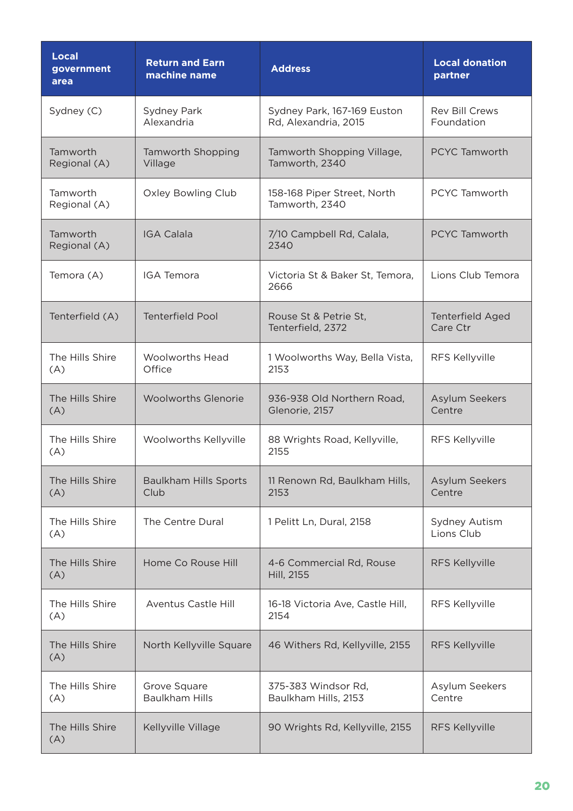| <b>Local</b><br>government<br>area | <b>Return and Earn</b><br>machine name | <b>Address</b>                                      | <b>Local donation</b><br>partner    |
|------------------------------------|----------------------------------------|-----------------------------------------------------|-------------------------------------|
| Sydney (C)                         | Sydney Park<br>Alexandria              | Sydney Park, 167-169 Euston<br>Rd, Alexandria, 2015 | <b>Rev Bill Crews</b><br>Foundation |
| Tamworth<br>Regional (A)           | Tamworth Shopping<br>Village           | Tamworth Shopping Village,<br>Tamworth, 2340        | <b>PCYC Tamworth</b>                |
| Tamworth<br>Regional (A)           | <b>Oxley Bowling Club</b>              | 158-168 Piper Street, North<br>Tamworth, 2340       | PCYC Tamworth                       |
| Tamworth<br>Regional (A)           | <b>IGA Calala</b>                      | 7/10 Campbell Rd, Calala,<br>2340                   | <b>PCYC Tamworth</b>                |
| Temora (A)                         | <b>IGA Temora</b>                      | Victoria St & Baker St, Temora,<br>2666             | Lions Club Temora                   |
| Tenterfield (A)                    | <b>Tenterfield Pool</b>                | Rouse St & Petrie St.<br>Tenterfield, 2372          | <b>Tenterfield Aged</b><br>Care Ctr |
| The Hills Shire<br>(A)             | <b>Woolworths Head</b><br>Office       | 1 Woolworths Way, Bella Vista,<br>2153              | RFS Kellyville                      |
| The Hills Shire<br>(A)             | <b>Woolworths Glenorie</b>             | 936-938 Old Northern Road,<br>Glenorie, 2157        | Asylum Seekers<br>Centre            |
| The Hills Shire<br>(A)             | Woolworths Kellyville                  | 88 Wrights Road, Kellyville,<br>2155                | RFS Kellyville                      |
| The Hills Shire<br>(A)             | <b>Baulkham Hills Sports</b><br>Club   | 11 Renown Rd, Baulkham Hills,<br>2153               | Asylum Seekers<br>Centre            |
| The Hills Shire<br>(A)             | The Centre Dural                       | 1 Pelitt Ln, Dural, 2158                            | Sydney Autism<br>Lions Club         |
| The Hills Shire<br>(A)             | Home Co Rouse Hill                     | 4-6 Commercial Rd, Rouse<br>Hill, 2155              | RFS Kellyville                      |
| The Hills Shire<br>(A)             | <b>Aventus Castle Hill</b>             | 16-18 Victoria Ave, Castle Hill,<br>2154            | RFS Kellyville                      |
| The Hills Shire<br>(A)             | North Kellyville Square                | 46 Withers Rd, Kellyville, 2155                     | RFS Kellyville                      |
| The Hills Shire<br>(A)             | Grove Square<br><b>Baulkham Hills</b>  | 375-383 Windsor Rd,<br>Baulkham Hills, 2153         | Asylum Seekers<br>Centre            |
| The Hills Shire<br>(A)             | Kellyville Village                     | 90 Wrights Rd, Kellyville, 2155                     | <b>RFS Kellyville</b>               |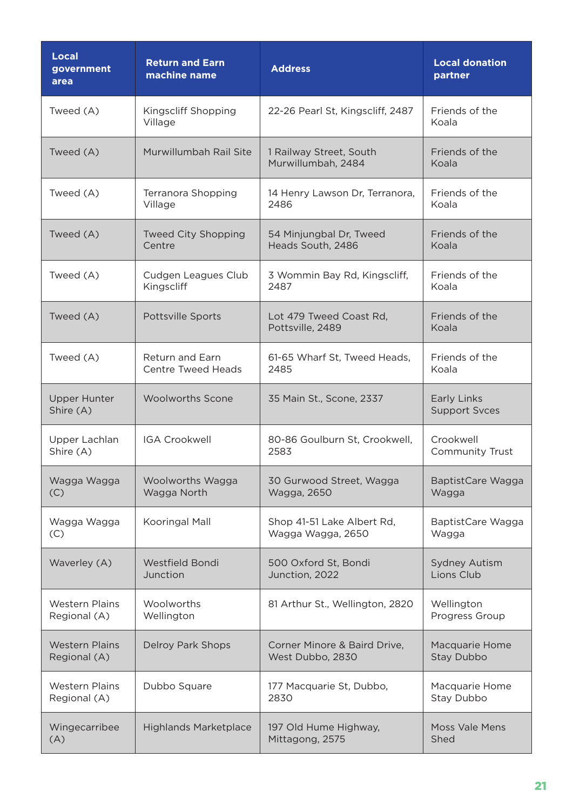| <b>Local</b><br>government<br>area | <b>Return and Earn</b><br>machine name | <b>Address</b>                                | <b>Local donation</b><br>partner    |
|------------------------------------|----------------------------------------|-----------------------------------------------|-------------------------------------|
| Tweed (A)                          | Kingscliff Shopping<br>Village         | 22-26 Pearl St, Kingscliff, 2487              | Friends of the<br>Koala             |
| Tweed (A)                          | Murwillumbah Rail Site                 | 1 Railway Street, South<br>Murwillumbah, 2484 | Friends of the<br>Koala             |
| Tweed (A)                          | Terranora Shopping                     | 14 Henry Lawson Dr, Terranora,                | Friends of the                      |
|                                    | Village                                | 2486                                          | Koala                               |
| Tweed (A)                          | <b>Tweed City Shopping</b>             | 54 Minjungbal Dr, Tweed                       | Friends of the                      |
|                                    | Centre                                 | Heads South, 2486                             | Koala                               |
| Tweed (A)                          | Cudgen Leagues Club                    | 3 Wommin Bay Rd, Kingscliff,                  | Friends of the                      |
|                                    | Kingscliff                             | 2487                                          | Koala                               |
| Tweed (A)                          | Pottsville Sports                      | Lot 479 Tweed Coast Rd,<br>Pottsville, 2489   | Friends of the<br>Koala             |
| Tweed (A)                          | Return and Earn                        | 61-65 Wharf St, Tweed Heads,                  | Friends of the                      |
|                                    | <b>Centre Tweed Heads</b>              | 2485                                          | Koala                               |
| <b>Upper Hunter</b><br>Shire (A)   | <b>Woolworths Scone</b>                | 35 Main St., Scone, 2337                      | Early Links<br><b>Support Svces</b> |
| Upper Lachlan                      | <b>IGA Crookwell</b>                   | 80-86 Goulburn St, Crookwell,                 | Crookwell                           |
| Shire (A)                          |                                        | 2583                                          | <b>Community Trust</b>              |
| Wagga Wagga                        | Woolworths Wagga                       | 30 Gurwood Street, Wagga                      | BaptistCare Wagga                   |
| (C)                                | Wagga North                            | Wagga, 2650                                   | Wagga                               |
| Wagga Wagga                        | Kooringal Mall                         | Shop 41-51 Lake Albert Rd,                    | BaptistCare Wagga                   |
| (C)                                |                                        | Wagga Wagga, 2650                             | Wagga                               |
| Waverley (A)                       | Westfield Bondi                        | 500 Oxford St, Bondi                          | <b>Sydney Autism</b>                |
|                                    | Junction                               | Junction, 2022                                | Lions Club                          |
| <b>Western Plains</b>              | Woolworths                             | 81 Arthur St., Wellington, 2820               | Wellington                          |
| Regional (A)                       | Wellington                             |                                               | Progress Group                      |
| <b>Western Plains</b>              | Delroy Park Shops                      | Corner Minore & Baird Drive,                  | Macquarie Home                      |
| Regional (A)                       |                                        | West Dubbo, 2830                              | Stay Dubbo                          |
| <b>Western Plains</b>              | Dubbo Square                           | 177 Macquarie St, Dubbo,                      | Macquarie Home                      |
| Regional (A)                       |                                        | 2830                                          | Stay Dubbo                          |
| Wingecarribee                      | <b>Highlands Marketplace</b>           | 197 Old Hume Highway,                         | <b>Moss Vale Mens</b>               |
| (A)                                |                                        | Mittagong, 2575                               | Shed                                |